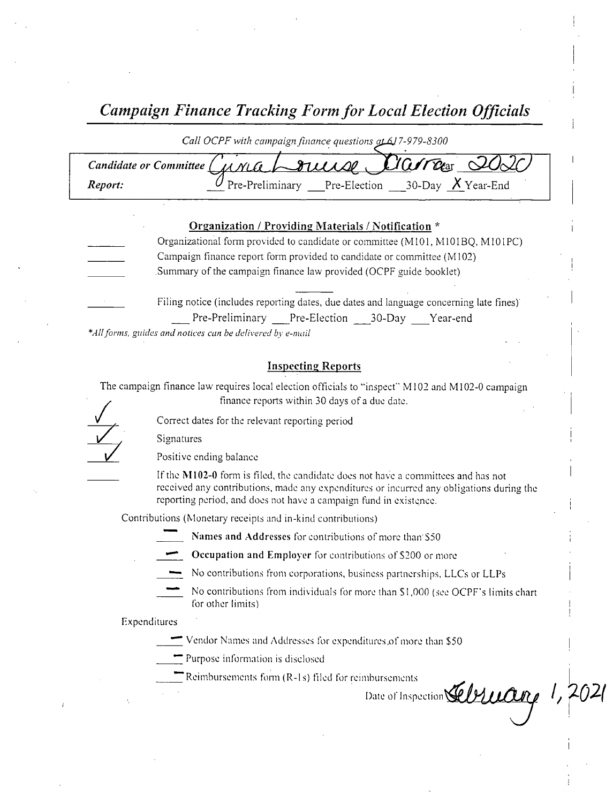Campaign Finance Tracking Form for Local Election Officials

| Call OCPF with campaign finance questions at 617-979-8300   |  |
|-------------------------------------------------------------|--|
| Candidate or Committee Curra $\sim$ 81 aug Clara 2020       |  |
| Pre-Preliminary Pre-Election 30-Day $X$ Year-End<br>Report: |  |

|                             | Organization / Providing Materials / Notification *                                    |
|-----------------------------|----------------------------------------------------------------------------------------|
|                             | Organizational form provided to candidate or committee (M101, M101BQ, M101PC)          |
|                             | Campaign finance report form provided to candidate or committee (M102)                 |
|                             | Summary of the campaign finance law provided (OCPF guide booklet)                      |
| $\sim 10^{10}$ km s $^{-1}$ | Filing notice (includes reporting dates, due dates and language concerning late fines) |
|                             | Pre-Preliminary Pre-Election<br>Year-end<br>$30$ -Day                                  |

\*All forms, guides and notices can be delivered by e-mail

### Inspecting Reports

The campaign finance law requires local election officials to "inspect" M102 and M102-0 campaign finance reports within 30 days of <sup>a</sup> due date.

Correct dates for the relevant reporting period

Signatures

Positive ending balance

If the M102-0 form is filed, the candidate does not have a committees and has not received any contributions, made any expenditures or incurred any obligations during the reporting period, and does not have <sup>a</sup> campaign fund in existence.

Contributions ( Monetary receipts and in- kind contributions)

Names and Addresses for contributions of more than \$50

Occupation and Employer for contributions of \$200 or more

- No contributions from corporations, business partnerships, LLCs or LLPs
- No contributions from individuals for more than \$1,000 (see OCPF's limits chart for other limits)

Date of Inspection  $\mathcal{L}$  D $\mathcal{L}$   $\mathcal{L}$ 

Expenditures

Vendor Names and Addresses for expenditures, of more than \$ 50

Purpose information is disclosed

Reimbursements form  $(R-1s)$  filed for reimbursements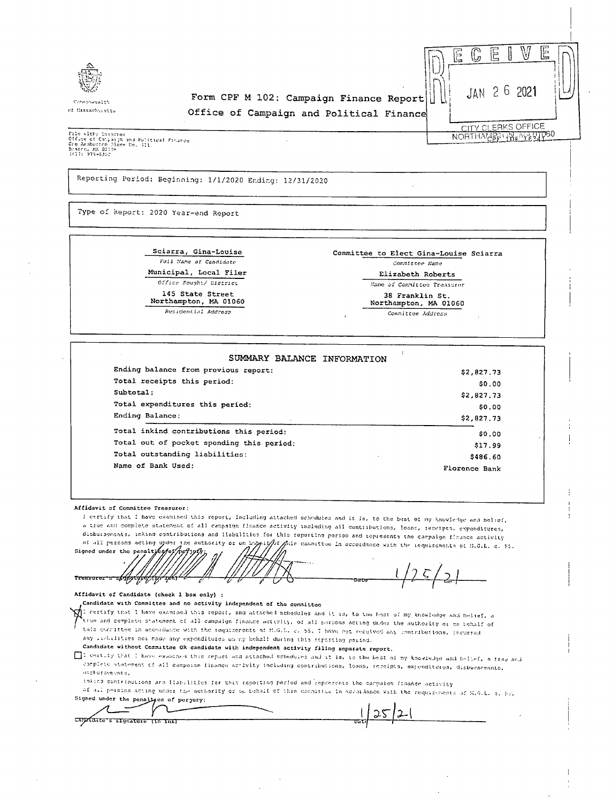

Cormonwealth of Massachuratts

### Form CPF M 102: Campaign Finance Report Office of Campaign and Political Finance



NORTHAMPPT THE MAIN PSO

File with: Stractor<br>Office of Cangaryn and Political Finance<br>Cre Akabucton Plage Rm, 311<br>Boatch, MA 02126 Braten, MA 021<br>1617) 979-8350

Reporting Period: Beginning: 1/1/2020 Ending: 12/31/2020

Type of Report: 2020 Year-end Report

Sciarra, Gina-Louise Full Name of Candidate Municipal, Local Filer Office Sought/ District 145 State Street

Northampton, MA 01060

Residential Address

Committee to Elect Gina-Louise Sciarra Committee Name Elizabeth Roberts

Mame of Committee Treasurer

38 Franklin St

#### Northampton, MA 01060

Committee Address

| SUMMARY BALANCE INFORMATION               |               |
|-------------------------------------------|---------------|
| Ending balance from previous report:      | \$2,827.73    |
| Total receipts this period:               | \$0.00        |
| Subtotal:                                 | \$2,827.73    |
| Total expenditures this period:           | \$0.00        |
| Ending Balance:                           | \$2,827.73    |
| Total inkind contributions this period:   | \$0.00        |
| Total out of pocket spending this period: | \$17.99       |
| Total outstanding liabilities:            | \$486.60      |
| Name of Bank Used:                        | Florence Bank |

Affidavit of Committee Treasurer:

I certify that I have examined this report, including attached schedules and it is, to the beat of my knowledge and helief, a true and complete statement of all campaign finance activity including all contributions. loans, recripts, expenditures, disbursements, inkind contributions and liabilities for this reporting period and tepresents the campaign fleance activity of all persons acting upder the authority or on happityor

Anis committee in accordance with the requirements of H.G.L. c. 55. signed under the penaltyce of reflypf

<del>recasaece: ==hypyly</del> <del>.9717.</del>

Affidavit of Candidate (check 1 box only) :

Candidate with Committee and no activity independent of the committee

 $\bigotimes$  i certify that I have examined this report, and attached schedules and it is, to the heat of my knowledge and belief, a true and complete statement of all campaign finance activity, of all persons acting under the authority or on tehalf of tain convitted in accordance with the requirements of M.G.L. c. 55, I have not received any contributions, incurred any includities not mode any expenditures on my bohalf during this separting pariod.

Candidate without Committee OR candidate with independent activity filing separate report.

[1] certify that I have examined this report and attached schedules and it is, to the best of my knowledge and hellef, a true and corplets statement of all campaion finance activity including contributions, lobas, receipts, expenditeres, disburnements, otchorsements,

inkics contributions are lisb; lities for this reporting period and represents the campaign finance activity

of all persons acting under the authority or on behalf of this coordinate in accordance with the requirements of M.G.L. c. 55. Signed under the penaltyen of perpury:

 $125$ Capatante o signature (in ink)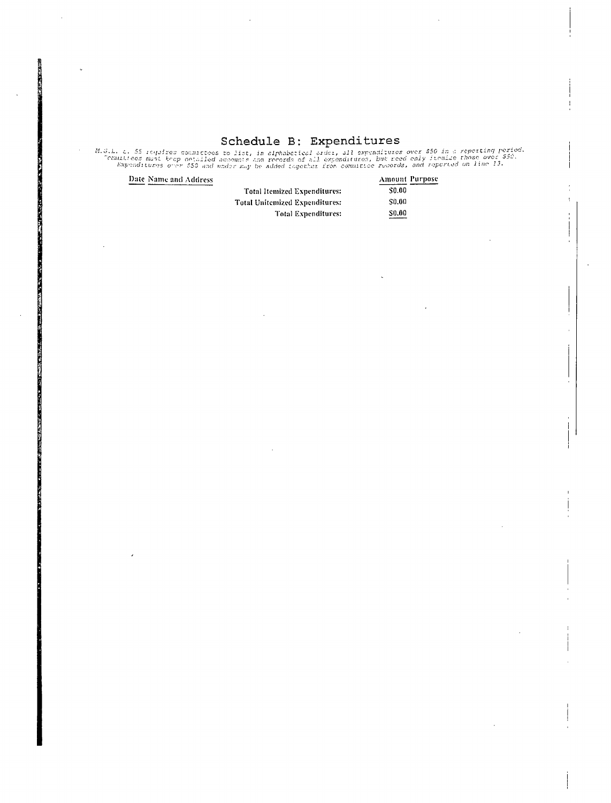Schedule B: Expenditures<br>M.G.L. C. 55 requires commutees to list, in alphabetical order, all expenditures over 550 in a repetting period.<br>Commuties and the position of the second of all expenditures, but need only finalise

Date Name and Address

|                                       |                   | <b>Amount Purpose</b> |
|---------------------------------------|-------------------|-----------------------|
| <b>Total Itemized Expenditures:</b>   | \$0.00            |                       |
| <b>Total Unitemized Expenditures:</b> | S <sub>0.00</sub> |                       |
| <b>Total Expenditures:</b>            | \$0.00            |                       |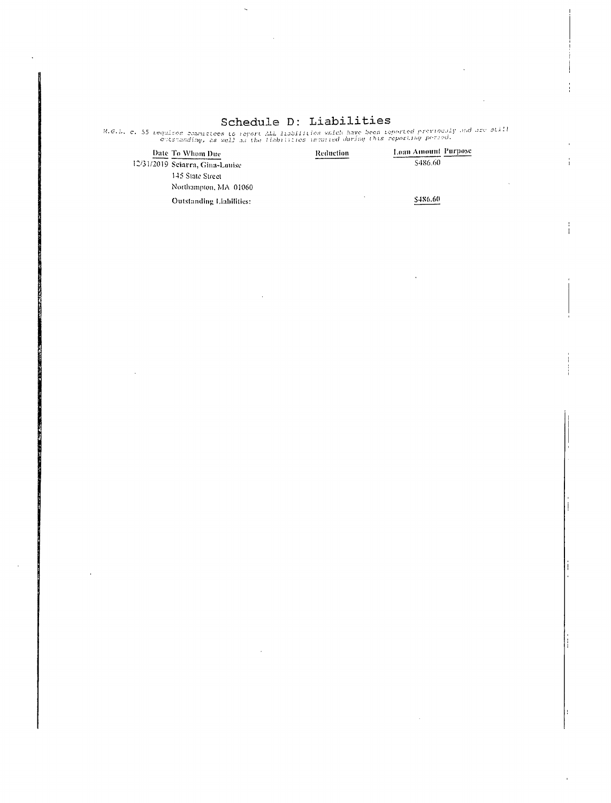# Schedule D: Liabilities

M.G.L. c. 55 requires communices to report ALL institutions which have been reported providently and are still<br>enternating, as well as the liabilities insurred during this reporting period.

| Date To Whom Due<br>12/31/2019 Sciarra, Gina-Louise | Reduction | Loan Amount Purpose<br>\$486.60 |
|-----------------------------------------------------|-----------|---------------------------------|
| 145 State Street                                    |           |                                 |
| Northampton, MA 01060                               |           |                                 |
| Outstanding Liabilities:                            |           | \$486.60                        |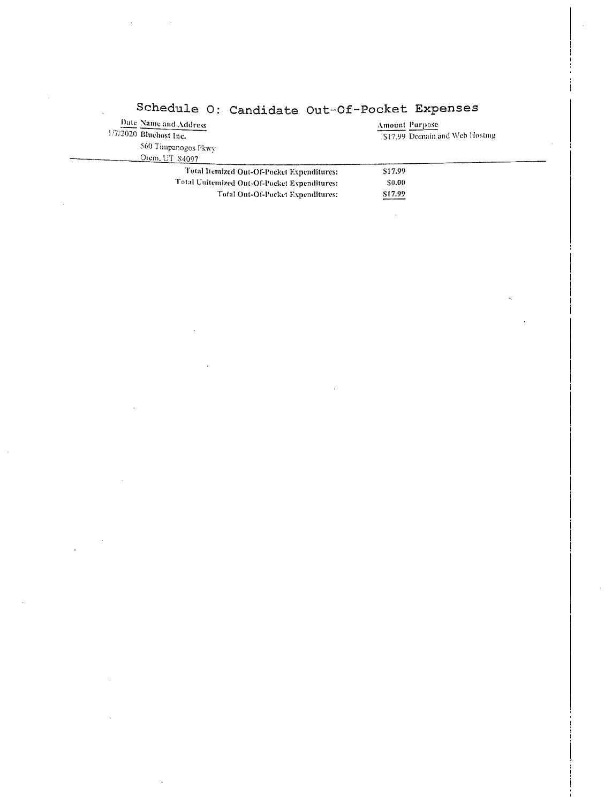| Date Name and Address                        | Amount Parpose                 |
|----------------------------------------------|--------------------------------|
| $1/7/2020$ Bluehost Inc.                     | \$17.99 Domain and Web Hosting |
| 560 Timpanogos Pkwy                          |                                |
| Orem, UT 84097                               |                                |
| Total Itemized Ont-Of-Pocket Expenditures:   | \$17.99                        |
| Total Unitemized Out-Of-Pocket Expenditures: | \$0.00                         |
| Total Out-Of-Pocket Expenditures:            | \$17.99                        |
|                                              |                                |

# Schedule O: Candidate Out-Of-Pocket Expenses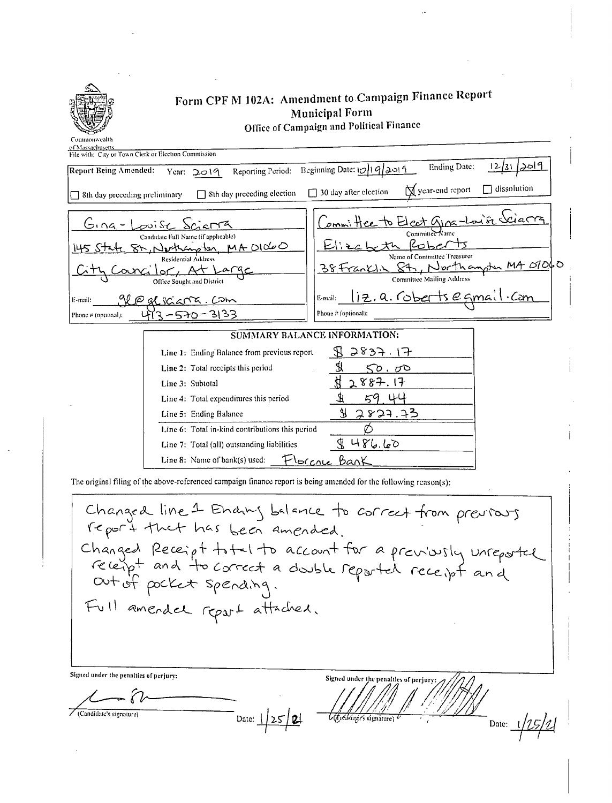

of Massachusetts

/ (Candidate's signature)

## Form CPF M 102A: Amendment to Campaign Finance Report **Municipal Form** Office of Campaign and Political Finance

| <b>ALCOHOL: AND ARRESTS</b><br>File with: City or Town Clerk or Election Commission                                                                                                                                                                                                                                     |
|-------------------------------------------------------------------------------------------------------------------------------------------------------------------------------------------------------------------------------------------------------------------------------------------------------------------------|
| <u>12/31/2019</u><br>Ending Date:<br>Beginning Date: $\frac{1}{9}$ $\frac{9}{2}$ $\frac{3}{1}$<br><b>Report Being Amended:</b><br>Reporting Period:<br>Year: 2019                                                                                                                                                       |
| dissolution<br>N year-end report<br>$\Box$ 30 day after election<br>8th day preceding election<br>8th day preceding preliminary<br>П                                                                                                                                                                                    |
| Committee to Elect GING-Louise Science<br>$Gna-$<br>puise Scienta<br>Committee Kame<br>Candidate Full Name (if applicable)<br>ヒドラ<br>82, Nethanster MA DIDOO<br>Name of Committee Treasurer<br>Residential Address<br>Northamster MA 01060<br>38 Franklin 87<br>Committee Mailing Address<br>Office Sought and District |
| liz.a. Coberts egmai<br>∙Can<br>E-mail:<br>gløglsciana. Com<br>E-mail:<br>Phone # (optional):<br>$3 - 570 - 3133$<br>Phone $\vec{r}$ (optional):                                                                                                                                                                        |
| SUMMARY BALANCE INFORMATION:                                                                                                                                                                                                                                                                                            |
| 2837.17<br>Line 1: Ending Balance from previous report                                                                                                                                                                                                                                                                  |
| Ś,<br>Line 2: Total receipts this period<br>50.00                                                                                                                                                                                                                                                                       |
| 2887.17<br>Line 3: Subtotal                                                                                                                                                                                                                                                                                             |
| 59 44<br>Line 4: Total expenditures this period                                                                                                                                                                                                                                                                         |
| 2827.73<br>Line 5: Ending Balance                                                                                                                                                                                                                                                                                       |
| Line 6: Total in-kind contributions this period                                                                                                                                                                                                                                                                         |
| 486.60<br>Line 7: Total (all) outstanding liabilities                                                                                                                                                                                                                                                                   |
| lorcrue Bank<br>Line 8: Name of bank(s) used:                                                                                                                                                                                                                                                                           |
|                                                                                                                                                                                                                                                                                                                         |

The original filing of the above-referenced campaign finance report is being amended for the following reason(s):

Date:  $\frac{1}{25}$  21

Changed line 1 Endry belonce to correct from previous<br>report that has been amended.<br>Changed Receipt to the account for a previously unreported<br>receipt and to correct a double reported receipt and<br>out of pocket spending.<br>Fu Signed under the penalties of perjury: Signed under the penalties of perjury

Date:  $1/25/2$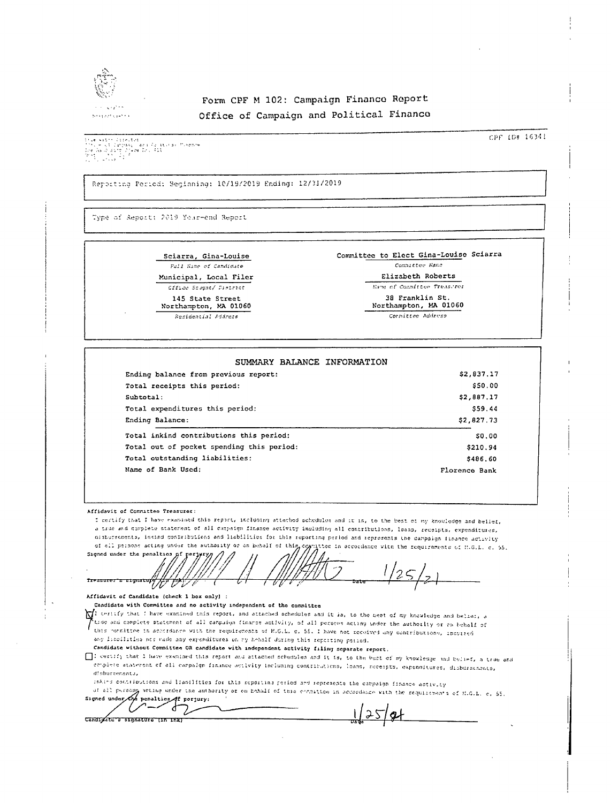

### Form CPF M 102: Campaign Financo Report Office of Campaign and Political Financo

the National Conception<br>The History Company (Data Assistant Minema)<br>The Canadian Division Division (Data Minema)<br>The Canadian Company (Data Assistant Division Division)<br>The Canadian Company (Data Assistant Division Divisio

CPF 1D# 16341

Reporting Period: Seginning: 10/19/2019 Ending: 12/31/2019

Type of Report: 2019 Your-end Report

Sciarra, Gina-Louise Full Name of Candidate Municipal, Local Filer Cffice Scugat/ District 145 State Street

Northampton, MA 01060 Runidential Address

Committee to Elect Gina-Louise Sciarra Committee Name Elizabeth Roberts

Mane of Committee Treas.res

38 Franklin St.

Northampton, MA 01060 Cornittee Address

| Ending balance from previous report:      | \$2,837.17    |
|-------------------------------------------|---------------|
| Total receipts this period:               | \$50.00       |
| Subtotal:                                 | \$2,887.17    |
| Total expenditures this period:           | \$59.44       |
| Ending Balance:                           | \$2,827.73    |
| Total inkind contributions this period:   | <b>SO.00</b>  |
| Total out of pocket spending this period: | \$210.94      |
| Total outstanding liabilities:            | \$486.60      |
| Name of Bank Used:                        | Florence Bank |

Affidavit of Commuttee Treasurer:

I certify that I have examined this report, including attached schedules and it is, to the best of my knowledge and belief. a true and complete statement of all cappaign finance activity including all contributions, loans, recoipts, expenditures, distorschents, insind contributions and liabilities for this reporting period and represents the campaign finance activity of all persons acting under the suthority or on behalf of this corritor in accordance with the requirements of H.G.L. c. 55.

Signed under the penalties Treasurer & signature L

#### Affidavit of Candidate (check 1 box only) :

Candidate with Committee and no activity independent of the committee

I certify that I have examined this report, and attached schedules and it is, to the best of my knowledge and belief, a tide and complete statement of all canpaign finance activity, of all persons acting under the authority or on behalf of (this observed a conserved to the company commercial controls). And the control of the contributions, incurred any issoilities nor rade any expenditures on my hebalf during this reporting paried.

Candidate without Committee OR candidate with independent activity filing separate report.

[ ]: certify that I have examined this report and attached schedules and it is, to the best of my knowledge and bein-f, a true ond .<br>complete ataterent of all carpaign finance activity including contributions, loans, receipts, expenditures, disburatanate, disbursements,

inkind contributions and liabilities for this reporting period and represents the cappaign finance activity

of all persong wetting under the authority or on behalf of this condition in accordance with the requirements of SLG.L. c. 55. Signed under Cro penalties of perjury:

1/25/21

ŎΖ ď Z Candigate a signature (in ink)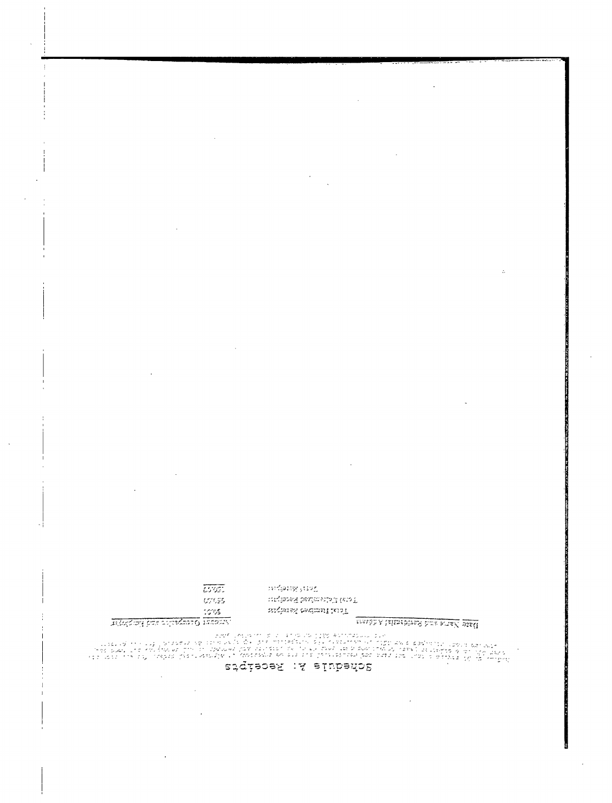## siqiabef :A alubedo2

 $\sim$   $\lambda$ 

|                                               | 10115 |
|-----------------------------------------------|-------|
| ುಸ್ತಾಲ್ಲೂರುವನ್ನು ಕುಮಾರ್ಥಿಯಾಗಿದ್ದು, ಸಿಪರಂಭವಾಗಿ |       |

 $\bar{z}$ 

 $\sim$ 

 $\overline{cos}$ 

cross.

math A laimsbired hus awaX piail

metang jug Tori biothemic Record where technical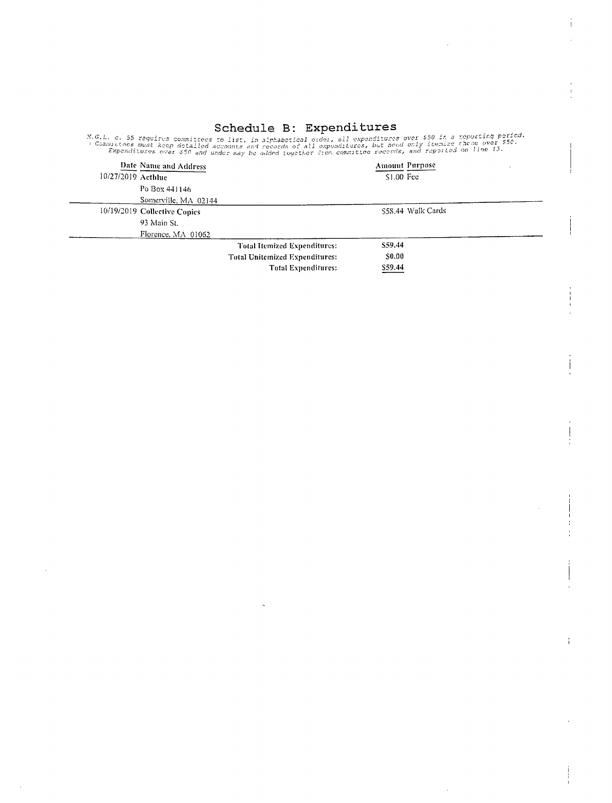Schedule B: Expenditures<br>Expenditures over 550 in a reporting period.<br>Commutates must keep detailed accounts and records of all expenditures, but need only itemize these over 550.<br>Expenditures over \$50 and under may be add

| Date Name and Address        |                                | <b>Amount Purpose</b> |  |
|------------------------------|--------------------------------|-----------------------|--|
| $10/27/2019$ Acthlue         |                                | $$1.00$ Fee           |  |
| Po Box 441146                |                                |                       |  |
| Somerville, MA 02144         |                                |                       |  |
| 10/19/2019 Collective Copies |                                | \$58.44 Walk Cards    |  |
| 93 Main St.                  |                                |                       |  |
| Florence, MA 01062           |                                |                       |  |
|                              | Total Itemized Expenditures:   | \$59.44               |  |
|                              | Total Unitemized Expenditures: | S0.00                 |  |
|                              | <b>Total Expenditures:</b>     | \$59.44               |  |

 $\ddagger$ 

j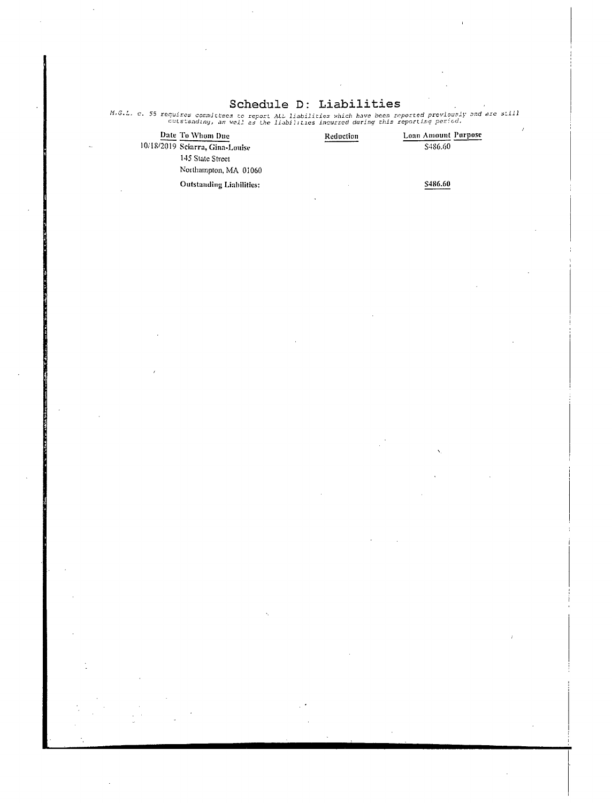## Schedule D: Liabilitie

| Date To Whom Due                | Reduction | Loan Amount Purpose |
|---------------------------------|-----------|---------------------|
| 10/18/2019 Sciarra, Gina-Louise |           | S486.60             |
| 145 State Street                |           |                     |
| Northampton, MA 01060           |           |                     |
| Outstanding Liabilities:        |           | \$486.60            |

M.G.L. c. 55 requires committees to report ALL liabilities which have been reported previously and are stil.<br>Cutstanding, as well as the liabilities incurred during this reporting period.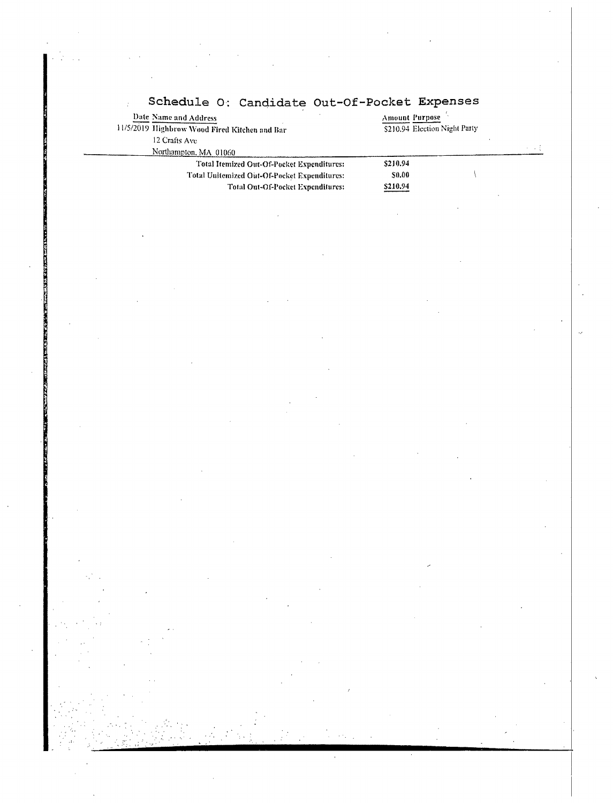| Date Name and Address                         | <b>Amount Purpose</b>         |  |  |
|-----------------------------------------------|-------------------------------|--|--|
| 11/5/2019 Highbrow Wood Fired Kitchen and Bar | \$210.94 Election Night Party |  |  |
| 12 Crafts Ave                                 |                               |  |  |
| Northampton, MA 01060                         |                               |  |  |
| Total Itemized Out-Of-Pocket Expenditures:    | S210.94                       |  |  |
| Total Unitemized Out-Of-Pocket Expenditures:  | \$0.00                        |  |  |
| <b>Total Out-Of-Pocket Expenditures:</b>      | \$210.94                      |  |  |
|                                               |                               |  |  |
|                                               |                               |  |  |
|                                               |                               |  |  |
|                                               |                               |  |  |
|                                               |                               |  |  |
|                                               |                               |  |  |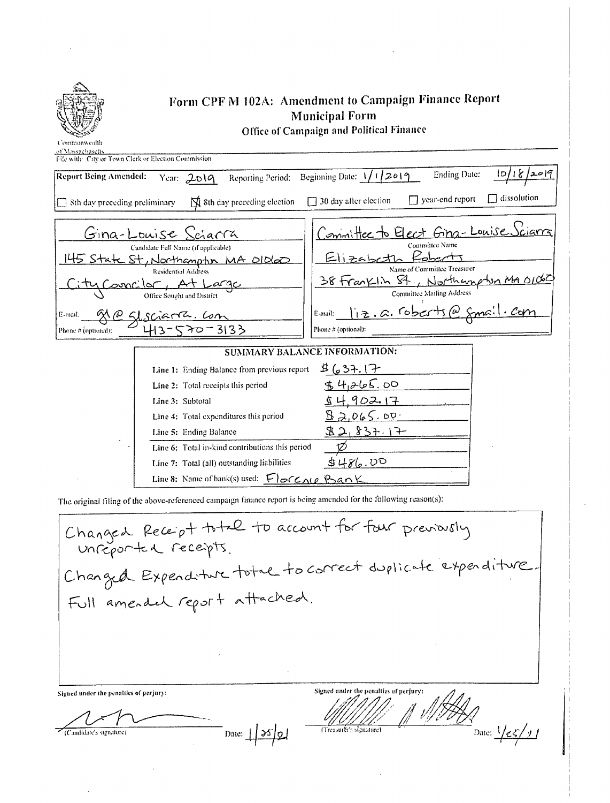

# Form CPF M 102A: Amendment to Campaign Finance Report **Municipal Form**

Office of Campaign and Political Finance

of Me<br>File w

|  |  | vith: City or Town Clerk or Election Commission. |  |
|--|--|--------------------------------------------------|--|
|  |  |                                                  |  |

| Report Being Amended:<br>Reporting Period:<br>Year: $2019$                                                                                                                                                                                        | Ending Date:<br>10/18/2019<br>Beginning Date: $1/1/2619$                                                                                                                                                                                                        |
|---------------------------------------------------------------------------------------------------------------------------------------------------------------------------------------------------------------------------------------------------|-----------------------------------------------------------------------------------------------------------------------------------------------------------------------------------------------------------------------------------------------------------------|
| $\overrightarrow{N}$ 8th day preceding election<br>$\Box$ 8th day preceding preliminary                                                                                                                                                           | dissolution<br>$\Box$ year-end report<br>$\Box$ 30 day after election                                                                                                                                                                                           |
| Gina-Louise Sciarra<br>Candidate Full Name (if applicable)<br>145 State St, Northampton MA Oldeo<br>Residential Address<br>ity Councilor, At Large<br>Office Sought and District<br>E-mail:<br>$\frac{a}{b}$ Sl scient bon<br>Phone # (optional): | sciarra<br>Committee to Elect Gina-Louise<br>Committee Name<br>Elizabetl<br>Name of Committee Treasurer<br>38 Franklin St., Northumpton MA 0100<br><b>Committee Mailing Address</b><br>$i_1$ z.a. roberts @ $\zeta$ mail. com<br>E-mail:<br>Phone # (optional): |
|                                                                                                                                                                                                                                                   | SUMMARY BALANCE INFORMATION:                                                                                                                                                                                                                                    |
| Line 1: Ending Balance from previous report<br>Line 2: Total receipts this period<br>Line 3: Subtotal                                                                                                                                             | 8637.17<br>\$4,265.00<br><u>s 4.902.17</u>                                                                                                                                                                                                                      |
| Line 4: Total expenditures this period<br>Line 5: Ending Balance<br>Line 6: Total in-kind contributions this period<br>Line 7: Total (all) outstanding liabilities                                                                                | B2.065.00.<br>82,837.17<br>5486.00                                                                                                                                                                                                                              |
| Line 8: Name of bank(s) used: $F$ or $C_1(e, B_2)K$                                                                                                                                                                                               |                                                                                                                                                                                                                                                                 |

The original filing of the above-referenced campaign finance report is being amended for the following reason(s):

Changed Receipt to the to account for four previously Changed Expenditure total to correct duplicate expenditure Full amended report attached.  $\frac{1}{\frac{1}{2}}$  Date:  $\frac{1}{25/11}$ Signed under the penalties of perfury: Signed under the penalties of perjury: (Treasurer's signature)  $\overline{\phantom{a}}$  Date:  $\frac{1}{35}$ (Candidate's signature)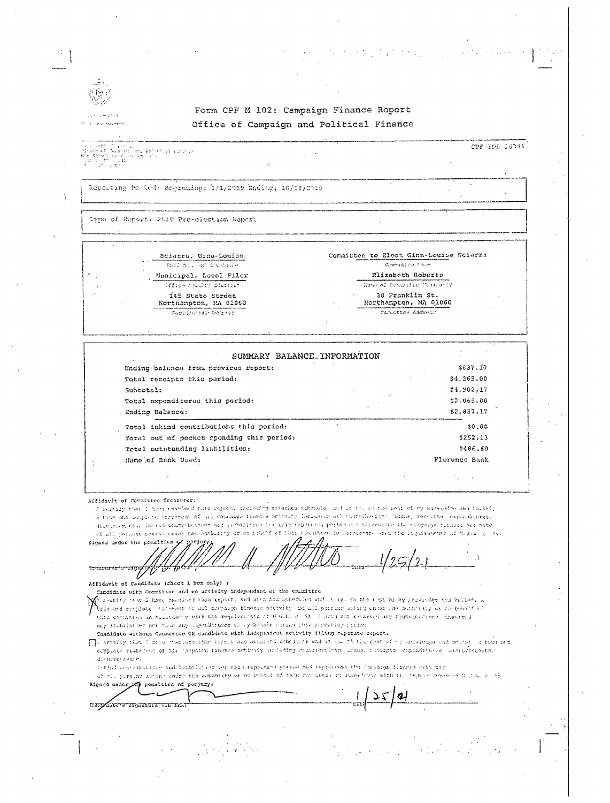| $\frac{1}{2}$ and<br>$\sum_{i=1}^n$<br>Þ<br>×. |
|------------------------------------------------|
| ż                                              |

in a resinger

j,

### Form CPF M 102: Campaign Finance Report Office of Campaign and Political Finance

 $\begin{array}{l} \sum_{\{i,j\}\in\{1,2\}}\sum_{\{i,j\}\in\{1,2\}}\left|\frac{1}{\sum_{i,j\in\{1,2\}}}\right|_{i,j=1}=\sum_{\{i,j\}\in\{1,2\}}\left|\frac{1}{\sum_{i,j\in\{1,2\}}}\right|_{i,j=1}=\sum_{\{i,j\}\in\{1,2\}}\left|\frac{1}{\sum_{i,j\in\{1,2\}}}\right|_{i,j=1}=\sum_{\{i,j\}\in\{1,2\}}\left|\frac{1}{\sum_{i,j\in\{1,2\}}}\right|_{i,j=1}=\sum_{\{i,j\$ CPF YDG 16341

Repeating Period: Beginning: 1/1/2019 Bnding; 10/18/2019

Type of Report: 2019 Pra-election Report

| Sciarra, Gina-Louise.                     | Committee to Elect Gina-Louise Scierra   |
|-------------------------------------------|------------------------------------------|
| TOLL MAY, WE CAN HERE H                   | <b>Cownsplay Fam</b>                     |
| Municipal, Local Filer                    | Elizaboth Roberts                        |
| <b>Silice forder Diactive</b>             | These of Cotialter Classiania            |
| 145 State Street<br>Northampton, MA 01060 | 38 Franklin St.<br>Northampton, MA 01060 |
| Remonstrate Williams                      | Consister Address                        |
|                                           |                                          |
|                                           |                                          |

| SUMMARY BALANCE INFORMATION               |               |
|-------------------------------------------|---------------|
| Ending balance from previous report:      | \$637.17      |
| Total receipts this pariod:               | \$4,265,00    |
| Subtotal:                                 | 54.902.17     |
| Total oxponditures this period:           | 52,065.00     |
| Ending Balance:                           | \$2,837.17    |
| Total inkind contributions this period:   | \$0.00        |
| Total out of pocket sponding this pariod: | \$252.13      |
| Total outstanding liabilities:            | 5486.60       |
| Name of Bank Used:                        | Plorence Bank |

Affidavit of Committee Treasurer:

CAPTASECTS MORALITY IN THAT

I certify that I have examined note report, freiesing astached schouded and it is a the book of my knowening and forief, a tius and rangived represent of all cappaign trabace abboury includes a and counciles into range, recorpose expendiones, discrete and incide remembered and indulfice in this separate period of telessons the response riceses are engiof all possess point cause the explicity of on the CC of this condition in accounter aim the copiesement of those of the

Signed under the ponalties of perjur ry. ัช -71

 $\frac{1}{\sqrt{1 + \frac{1}{2}}\left(\frac{1}{2}\right)^{2}}$ Affidavit of Candidate (check i box only) :

Candidate with Committee and no activity independent of the committee

.<br>A chiedry trae a have exchand rada xoport, and arro hod nebodules wid is it is to the rist of by souriedge sud better, a .<br>Then and complete chalment is all compaign finance attacks at all parring authorism and avenuate as checking i this comission in allocame with the replication of B G-L e (55) I acknowledged ing consideration (hearted) any fimbulation not will say inpenditures on by housis caminate reporting primary

Condidate without Conmittee OR condidate with independent setivity filing reporate report.

[], certify that I move wattack that topels and attended otherwise and it is. to the cast of my actuitoring and meeter is true and ermplane anakéhan di sis ranpaina isaames antivaly uncheding menikulaména, imamo, isznipto, expossiblo es, uvernérmenana, dinnerwaame.

period control dished and linkelicities for their reporting polices and regionement the chronique finance refusing

of all jirsing acting under the addnessly of an Endout of this countries in about these with the regards seemed of this bile. A 3 penalties of porjumy: Signed under i

 $\mathbf{a}$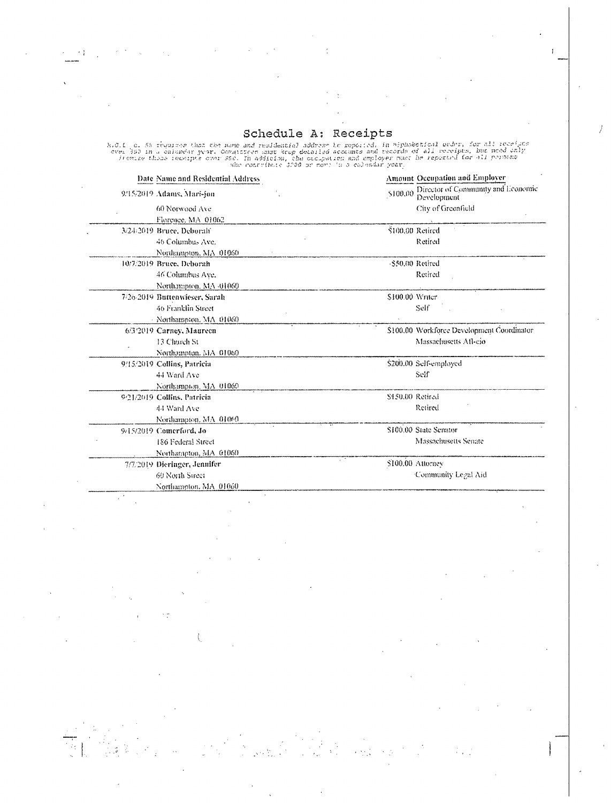í

 $\overline{1}$ 

Schedule A: Receipts<br>over the required that the name and realdential address to reported, in miphabetical ender, for all receipts<br>over 393 in a calumdar year. Commissions were detailed accounts and records of all receipts,

| Date Name and Residential Address |                  | Amount Occupation and Employer                    |
|-----------------------------------|------------------|---------------------------------------------------|
| 9/15/2019 Adams, Mari-jon         | \$100,00         | Director of Community and Economic<br>Development |
| 60 Norwood Ave                    |                  | City of Greenfield                                |
| Florence, MA 01062                |                  |                                                   |
| 3/24/2019 Bruce, Deborah          | \$100.00 Retired |                                                   |
| 46 Columbus Ave.                  |                  | Retired                                           |
| Northampton, MA 01060             |                  |                                                   |
| 10/7/2019 Bruce, Deborah          | -\$50,00 Retired |                                                   |
| 46 Columbus Ave.                  |                  | Retired                                           |
| Northampton, MA -01060            |                  |                                                   |
| 7/26-2019 Buttenwieser, Sarah     | S100.00 Writer   |                                                   |
| 46 Franklin Street                |                  | Self                                              |
| - Northampton, MA 01060           |                  |                                                   |
| 6/3/2019 Carney, Maurecn          |                  | \$100,00 Workforce Development Coordinator        |
| 13 Church St                      |                  | Massachusetts Afl-cio                             |
| Northampton, MA 01060             |                  |                                                   |
| 9/15/2019 Collins, Patricia       |                  | \$200.00 Self-employed                            |
| 44 Ward Ave                       |                  | Seif                                              |
| Northampton, MA 01060             |                  |                                                   |
| 9/21/2019 Collins, Patricia       | \$450.00 Retired |                                                   |
| 44 Ward Ave                       |                  | Retired                                           |
| Northampton, MA 01060             |                  |                                                   |
| 9/15/2019 Comerford, Jo           |                  | \$100.00 State Senator                            |
| 186 Federal Street                |                  | Massachusetts Senate                              |
| Northampton, MA 01060             |                  |                                                   |
| 7/7/2019 Dieringer, Jennifer      |                  | \$100,00 Attorney                                 |
| 60 North Street                   |                  | Community Legal Aid                               |
| Northampton, MA 01060             |                  |                                                   |
|                                   |                  |                                                   |

 $\overline{\mathbb{C}}$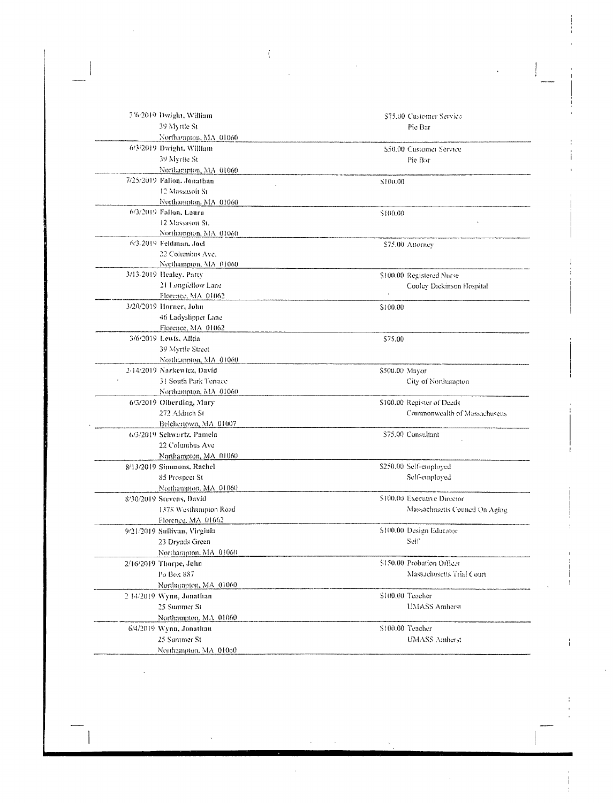| 3'6/2019 Dwight, William     |                | \$75.00 Customer Service       |
|------------------------------|----------------|--------------------------------|
| 39 Myrtle St                 |                | Pie Bar                        |
| Northampton, MA 01060        |                |                                |
| 6/3/2019 Dwight, William     |                | \$50.00 Customer Service       |
| 39 Myrtie St                 |                | Pie Bar                        |
| Northampton, MA 01060        |                |                                |
| 7/25/2019 Fallon, Jonathan   | \$100.00       |                                |
| 12 Massasoit St              |                |                                |
| Northampton, MA 01060        |                |                                |
| 6/3/2019 Fallon, Laura       | \$100.00       |                                |
| 12 Massason St.              |                |                                |
| Northampton, MA 01060        |                |                                |
| 6/3/2019 Feldman, Joel       |                | \$75.00 Attorney               |
| 22 Columbus Ave.             |                |                                |
| Northampton, MA 01060        |                |                                |
| 3/13-2019 Healey, Patty      |                | \$100.00 Registered Nurse      |
| 21 Longfellow Lane           |                | Cooley Dickinson Hospital      |
| Florence, MA 01062           |                |                                |
| 3/20/2019 Horner, John       | \$100.00       |                                |
| 46 Ladyslipper Lane          |                |                                |
| Florence, MA 01062           |                |                                |
| 3/6/2019 Lewis, Alida        | \$75.00        |                                |
| 39 Myrtle Street             |                |                                |
| Northanpton, MA 01060        |                |                                |
| 2-14/2019 Narkewicz, David   | \$500.00 Mayor |                                |
| 31 South Park Terrace        |                | City of Northampton            |
| Northampton, MA 01060        |                |                                |
| 6/3/2019 Olberding, Mary     |                | \$100,00 Register of Deeds     |
| 272 Aldrich St               |                | Commonwealth of Massachuseus   |
| Belchertown, MA 01007        |                |                                |
| 6/3/2019 Schwartz, Pamela    |                | \$75.00 Consultant             |
| 22 Columbus Ave              |                |                                |
| Northampton, MA 01060        |                |                                |
| 8/13/2019 Simmons, Rachel    |                | \$250.00 Self-employed         |
| 85 Prospect St               |                | Self-employed                  |
| Northampton, MA 01060        |                |                                |
| 8/30/2019 Stevens, David     |                | \$100,00 Executive Director    |
| 1378 Westhampton Road        |                | Massachusetts Council On Aging |
| Florence, MA 01062           |                |                                |
| 9/21/2019 Sullivan, Virginia |                | \$100,00 Design Educator       |
| 23 Dryads Green              |                | Self                           |
| Northampton, MA 01060        |                |                                |
|                              |                | \$150.00 Probation Officer     |
| 2/16/2019 Thorpe, John       |                |                                |
| Po Box 887                   |                | Massachusetts Trial Court      |
| Northumpton, MA 01060        |                |                                |
| 2 14/2019 Wynn, Jonathan     |                | \$100.00 Teacher               |
| 25 Summer St                 |                | <b>UMASS Amherst</b>           |
| Northampton, MA 01060        |                |                                |
| 6/4/2019 Wynn, Jonathan      |                | \$100.00 Teacher               |
| 25 Summer St                 |                | UMASS Amherst                  |
| Marshamman, MAC 64060.       |                |                                |

 $\hat{A}$ 

 $\hat{\mathbf{r}}$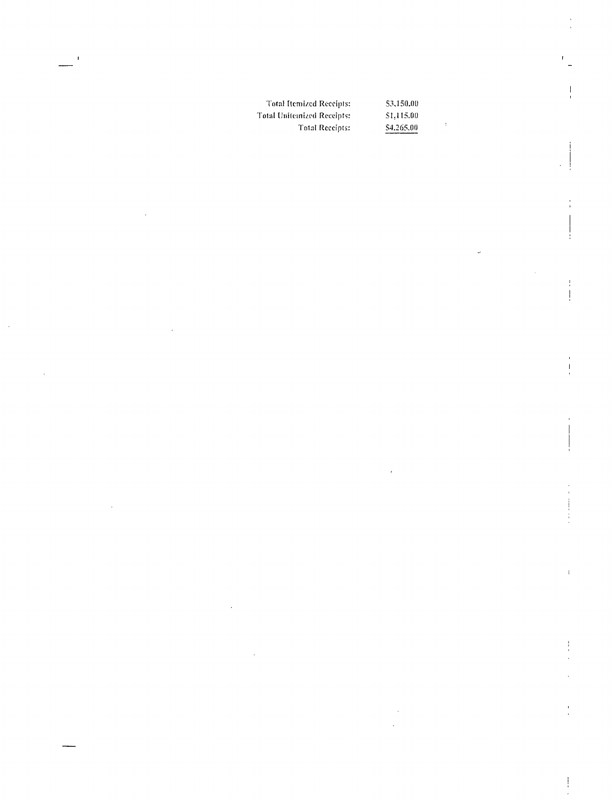Total Itemized Receipts: 53,150.00<br>
Stal Unifemized Receipts: 51,115.00 Total Unitemized Receipts: Total Receipts:  $S4, 265.00$ 

l,

 $\ddot{\phantom{a}}$ 

 $\bar{1}$ 

ļ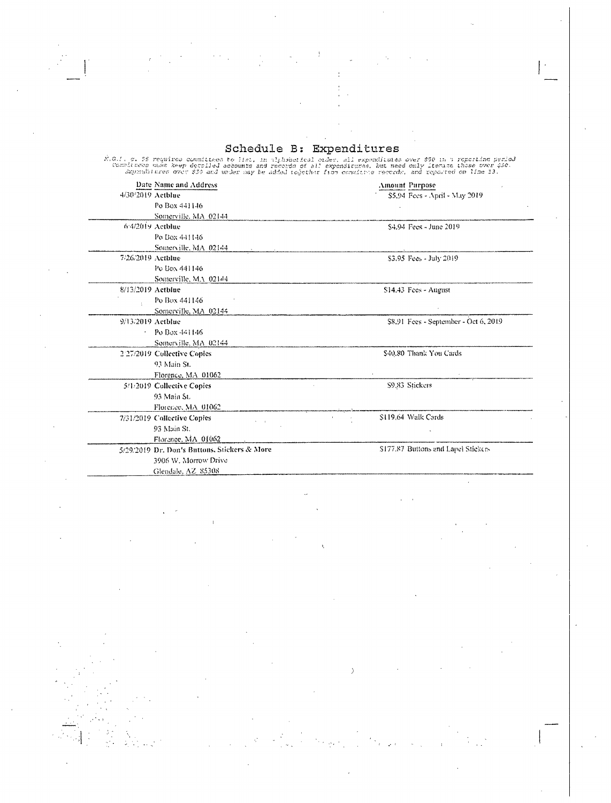Schedule B: Expenditures

Schedule B: Expenditures<br>%.0.1. a. 55 requires committees to lim, in alphabetical order, dil expenditures over \$50 in a reporting per<br>spenditures mush keep deralled accounts and records of all expenditures, but meed only i Date Name and Address mount Purpose 4/30/2019 Actblue model and Purpose of Amount Purpose \$5.94 Fees - April - May 2019 Po Box 441146 Somerville, MA 02144<br>6/4/2019 Actblue \$4.94 Fees - June 2019 Po Box 441146 Somerville, MA 02144<br>7/26/2019 Actblue \$3,95 Fees - July 2019 Pe Box 441146 Somerville, MA 02144 8/13/2019 Actblue 8/13/2019 Actblue 8/13/2019 Actblue Po Box 441146 Somerville. MA 02144 9/13/2019 Actblue 8. 91 Fees - September - Oct 6, 2019  $\sim$ Po Box 441146 Somerville, MA 02144 227)2019 Collective Copies 540. 80 Thank You Cards 93 Main Si. Florence, MA 01062 5/1/2019 Collective Copies S9,83 Stickers 93 Main Si. Florence, MA 01062 7/31/2019 Collective Copies S119.64 Walk Cards 93 Main Si. Florence, MA 01062 5/29/2019 Dr. Don's Buttons, Stickers & More 177.87 Buttons and Lapel Stickers

3906 W. Morrow Drive Glendale. AZ 85308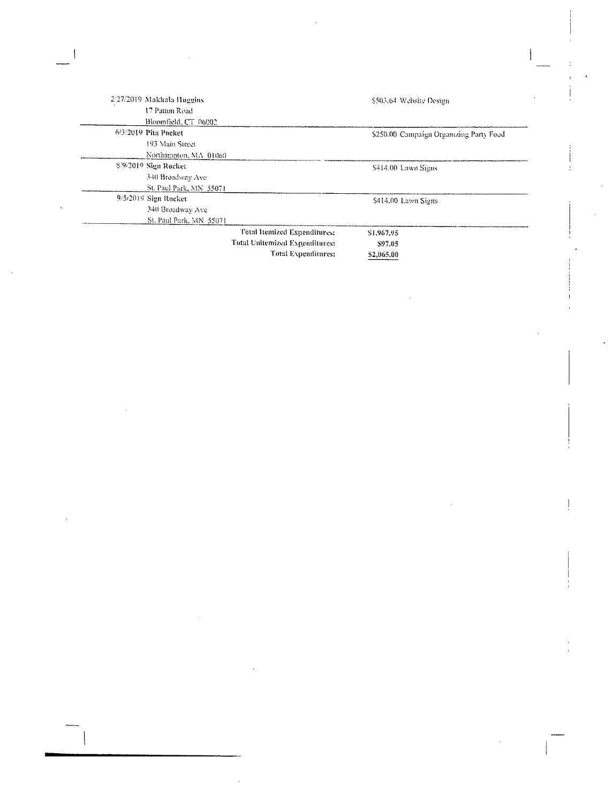| 2/27/2019 Makhala Huggins |                                | \$503.64 Website Design                 |
|---------------------------|--------------------------------|-----------------------------------------|
| 17 Patton Road            |                                |                                         |
| Bloomfield, CT 06002      |                                |                                         |
| 6/3/2019 Pita Pocket      |                                | \$250.00 Campaign Organizing Party Food |
| 193 Main Street           |                                |                                         |
| Northampton, MA 01060     |                                |                                         |
| \$59/2019 Sign Rocket     |                                | \$414.00 Lawn Signs                     |
| 340 Broadway Ave          |                                |                                         |
| St. Paul Park, MN 55071   |                                |                                         |
| 9/5/2019 Sign Rocket      |                                | \$414.00 Lawn Signs                     |
| 340 Broadway Ave          |                                |                                         |
| St. Paul Park, MN 55071   |                                |                                         |
|                           | Total Itemized Expenditures:   | \$1,967.95                              |
|                           | Total Unitemized Expenditures: | \$97.05                                 |
|                           | Total Expenditures:            | \$2,065.00                              |

 $\mathcal{L}^{\text{max}}_{\text{max}}$ 

 $\mathcal{A}^{\text{max}}_{\text{max}}$ 

 $\label{eq:2.1} \frac{1}{\sqrt{2}}\int_{\mathbb{R}^3} \frac{1}{\sqrt{2}}\left(\frac{1}{\sqrt{2}}\right)^2\frac{1}{\sqrt{2}}\left(\frac{1}{\sqrt{2}}\right)^2\frac{1}{\sqrt{2}}\left(\frac{1}{\sqrt{2}}\right)^2.$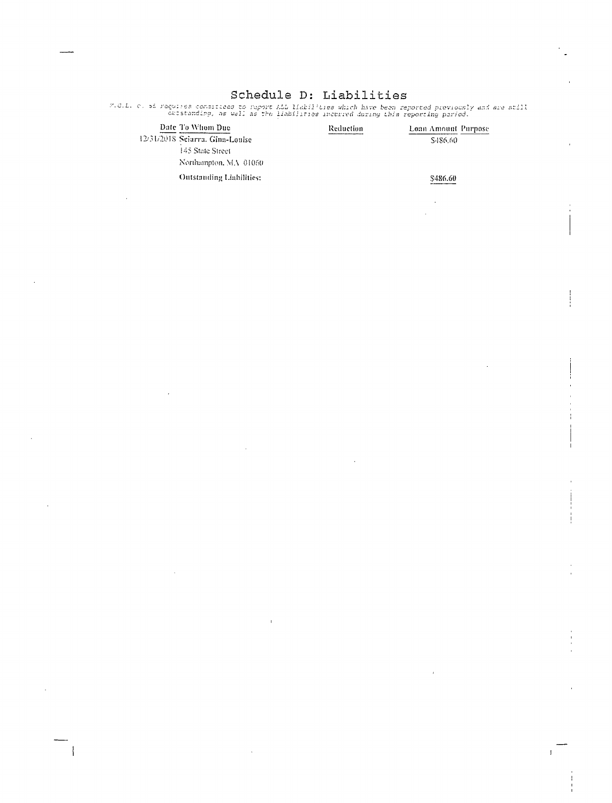## Schedule D: Liabilities

2.8.1. c. of raguites consisteed to raport ALL Habilities which have been reported previously and are still<br>outstanding, as well as the Habilities incurred during this reporting period.

| Date To Whom Due                | Reduction | Loan Amount Purpose |
|---------------------------------|-----------|---------------------|
| 12/31/2018 Selarra, Gina-Louise |           | \$486,60            |
| 145 State Street                |           |                     |
| Northampton, MA 01060           |           |                     |
| Outstanding Liabilities:        |           | \$486.60            |
|                                 |           |                     |

 $\mathbf{L}$